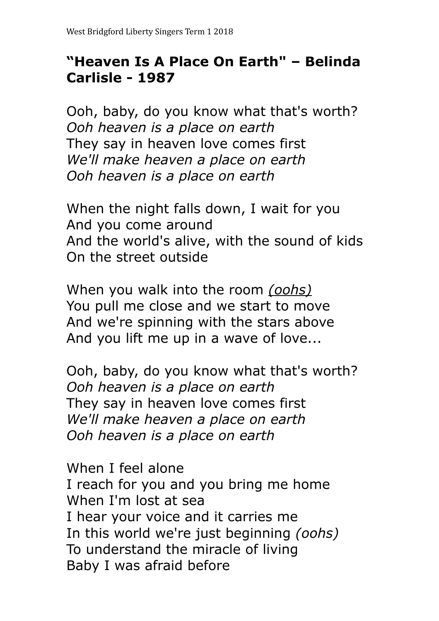## **"Heaven Is A Place On Earth" – Belinda Carlisle - 1987**

Ooh, baby, do you know what that's worth? *Ooh heaven is a place on earth* They say in heaven love comes first *We'll make heaven a place on earth Ooh heaven is a place on earth*

When the night falls down, I wait for you And you come around And the world's alive, with the sound of kids On the street outside

When you walk into the room *(oohs)* You pull me close and we start to move And we're spinning with the stars above And you lift me up in a wave of love...

Ooh, baby, do you know what that's worth? *Ooh heaven is a place on earth* They say in heaven love comes first *We'll make heaven a place on earth Ooh heaven is a place on earth*

When I feel alone I reach for you and you bring me home When I'm lost at sea I hear your voice and it carries me In this world we're just beginning *(oohs)* To understand the miracle of living Baby I was afraid before